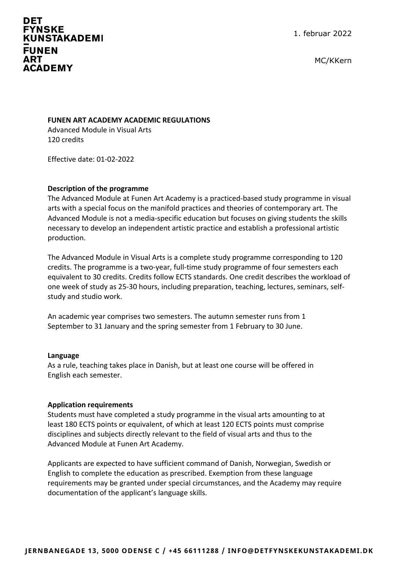# **DET FYNSKE KUNSTAKADEMI FUNEN ART ACADEMY**

1. februar 2022

MC/KKern

## **FUNEN ART ACADEMY ACADEMIC REGULATIONS**

Advanced Module in Visual Arts 120 credits

Effective date: 01-02-2022

## **Description of the programme**

The Advanced Module at Funen Art Academy is a practiced-based study programme in visual arts with a special focus on the manifold practices and theories of contemporary art. The Advanced Module is not a media-specific education but focuses on giving students the skills necessary to develop an independent artistic practice and establish a professional artistic production.

The Advanced Module in Visual Arts is a complete study programme corresponding to 120 credits. The programme is a two-year, full-time study programme of four semesters each equivalent to 30 credits. Credits follow ECTS standards. One credit describes the workload of one week of study as 25-30 hours, including preparation, teaching, lectures, seminars, selfstudy and studio work.

An academic year comprises two semesters. The autumn semester runs from 1 September to 31 January and the spring semester from 1 February to 30 June.

#### **Language**

As a rule, teaching takes place in Danish, but at least one course will be offered in English each semester.

## **Application requirements**

Students must have completed a study programme in the visual arts amounting to at least 180 ECTS points or equivalent, of which at least 120 ECTS points must comprise disciplines and subjects directly relevant to the field of visual arts and thus to the Advanced Module at Funen Art Academy.

Applicants are expected to have sufficient command of Danish, Norwegian, Swedish or English to complete the education as prescribed. Exemption from these language requirements may be granted under special circumstances, and the Academy may require documentation of the applicant's language skills.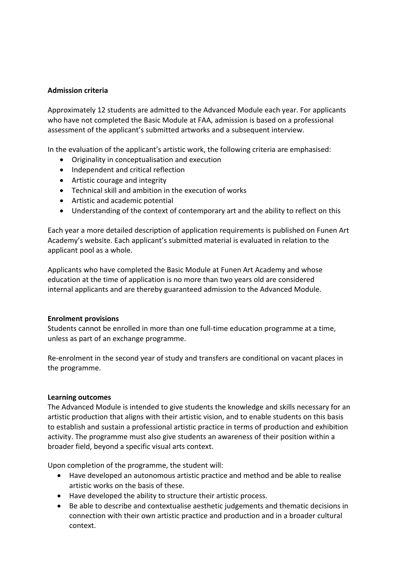## **Admission criteria**

Approximately 12 students are admitted to the Advanced Module each year. For applicants who have not completed the Basic Module at FAA, admission is based on a professional assessment of the applicant's submitted artworks and a subsequent interview.

In the evaluation of the applicant's artistic work, the following criteria are emphasised:

- Originality in conceptualisation and execution
- Independent and critical reflection
- Artistic courage and integrity
- Technical skill and ambition in the execution of works
- Artistic and academic potential
- Understanding of the context of contemporary art and the ability to reflect on this

Each year a more detailed description of application requirements is published on Funen Art Academy's website. Each applicant's submitted material is evaluated in relation to the applicant pool as a whole.

Applicants who have completed the Basic Module at Funen Art Academy and whose education at the time of application is no more than two years old are considered internal applicants and are thereby guaranteed admission to the Advanced Module.

## **Enrolment provisions**

Students cannot be enrolled in more than one full-time education programme at a time, unless as part of an exchange programme.

Re-enrolment in the second year of study and transfers are conditional on vacant places in the programme.

## **Learning outcomes**

The Advanced Module is intended to give students the knowledge and skills necessary for an artistic production that aligns with their artistic vision, and to enable students on this basis to establish and sustain a professional artistic practice in terms of production and exhibition activity. The programme must also give students an awareness of their position within a broader field, beyond a specific visual arts context.

Upon completion of the programme, the student will:

- Have developed an autonomous artistic practice and method and be able to realise artistic works on the basis of these.
- Have developed the ability to structure their artistic process.
- Be able to describe and contextualise aesthetic judgements and thematic decisions in connection with their own artistic practice and production and in a broader cultural context.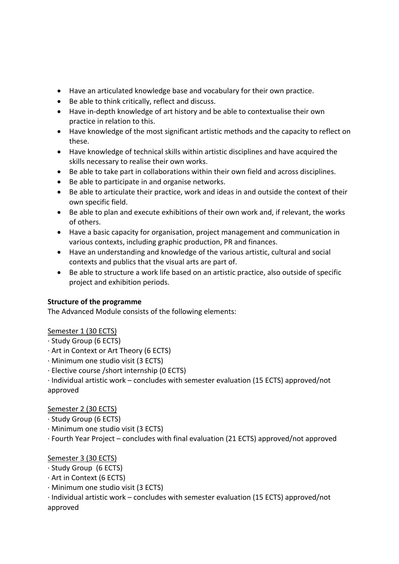- Have an articulated knowledge base and vocabulary for their own practice.
- Be able to think critically, reflect and discuss.
- Have in-depth knowledge of art history and be able to contextualise their own practice in relation to this.
- Have knowledge of the most significant artistic methods and the capacity to reflect on these.
- Have knowledge of technical skills within artistic disciplines and have acquired the skills necessary to realise their own works.
- Be able to take part in collaborations within their own field and across disciplines.
- Be able to participate in and organise networks.
- Be able to articulate their practice, work and ideas in and outside the context of their own specific field.
- Be able to plan and execute exhibitions of their own work and, if relevant, the works of others.
- Have a basic capacity for organisation, project management and communication in various contexts, including graphic production, PR and finances.
- Have an understanding and knowledge of the various artistic, cultural and social contexts and publics that the visual arts are part of.
- Be able to structure a work life based on an artistic practice, also outside of specific project and exhibition periods.

# **Structure of the programme**

The Advanced Module consists of the following elements:

# Semester 1 (30 ECTS)

- · Study Group (6 ECTS)
- · Art in Context or Art Theory (6 ECTS)
- · Minimum one studio visit (3 ECTS)
- · Elective course /short internship (0 ECTS)
- · Individual artistic work concludes with semester evaluation (15 ECTS) approved/not approved

# Semester 2 (30 ECTS)

- · Study Group (6 ECTS)
- · Minimum one studio visit (3 ECTS)
- · Fourth Year Project concludes with final evaluation (21 ECTS) approved/not approved

# Semester 3 (30 ECTS)

- · Study Group (6 ECTS)
- · Art in Context (6 ECTS)
- · Minimum one studio visit (3 ECTS)
- · Individual artistic work concludes with semester evaluation (15 ECTS) approved/not approved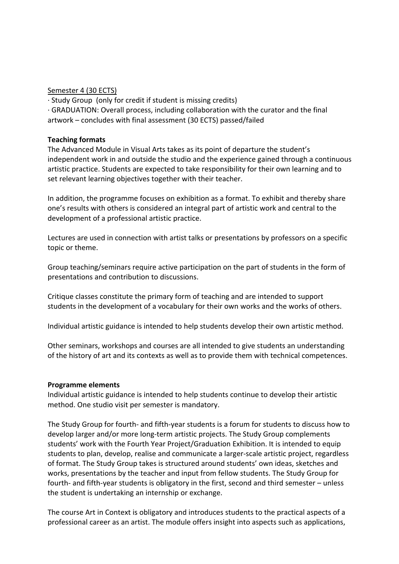### Semester 4 (30 ECTS)

· Study Group (only for credit if student is missing credits)

· GRADUATION: Overall process, including collaboration with the curator and the final artwork – concludes with final assessment (30 ECTS) passed/failed

### **Teaching formats**

The Advanced Module in Visual Arts takes as its point of departure the student's independent work in and outside the studio and the experience gained through a continuous artistic practice. Students are expected to take responsibility for their own learning and to set relevant learning objectives together with their teacher.

In addition, the programme focuses on exhibition as a format. To exhibit and thereby share one's results with others is considered an integral part of artistic work and central to the development of a professional artistic practice.

Lectures are used in connection with artist talks or presentations by professors on a specific topic or theme.

Group teaching/seminars require active participation on the part of students in the form of presentations and contribution to discussions.

Critique classes constitute the primary form of teaching and are intended to support students in the development of a vocabulary for their own works and the works of others.

Individual artistic guidance is intended to help students develop their own artistic method.

Other seminars, workshops and courses are all intended to give students an understanding of the history of art and its contexts as well as to provide them with technical competences.

## **Programme elements**

Individual artistic guidance is intended to help students continue to develop their artistic method. One studio visit per semester is mandatory.

The Study Group for fourth- and fifth-year students is a forum for students to discuss how to develop larger and/or more long-term artistic projects. The Study Group complements students' work with the Fourth Year Project/Graduation Exhibition. It is intended to equip students to plan, develop, realise and communicate a larger-scale artistic project, regardless of format. The Study Group takes is structured around students' own ideas, sketches and works, presentations by the teacher and input from fellow students. The Study Group for fourth- and fifth-year students is obligatory in the first, second and third semester – unless the student is undertaking an internship or exchange.

The course Art in Context is obligatory and introduces students to the practical aspects of a professional career as an artist. The module offers insight into aspects such as applications,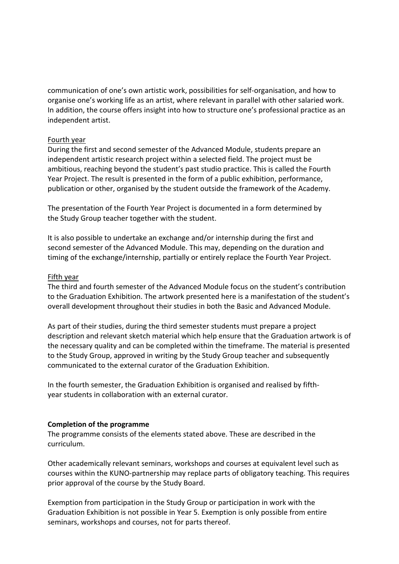communication of one's own artistic work, possibilities for self-organisation, and how to organise one's working life as an artist, where relevant in parallel with other salaried work. In addition, the course offers insight into how to structure one's professional practice as an independent artist.

## Fourth year

During the first and second semester of the Advanced Module, students prepare an independent artistic research project within a selected field. The project must be ambitious, reaching beyond the student's past studio practice. This is called the Fourth Year Project. The result is presented in the form of a public exhibition, performance, publication or other, organised by the student outside the framework of the Academy.

The presentation of the Fourth Year Project is documented in a form determined by the Study Group teacher together with the student.

It is also possible to undertake an exchange and/or internship during the first and second semester of the Advanced Module. This may, depending on the duration and timing of the exchange/internship, partially or entirely replace the Fourth Year Project.

### Fifth year

The third and fourth semester of the Advanced Module focus on the student's contribution to the Graduation Exhibition. The artwork presented here is a manifestation of the student's overall development throughout their studies in both the Basic and Advanced Module.

As part of their studies, during the third semester students must prepare a project description and relevant sketch material which help ensure that the Graduation artwork is of the necessary quality and can be completed within the timeframe. The material is presented to the Study Group, approved in writing by the Study Group teacher and subsequently communicated to the external curator of the Graduation Exhibition.

In the fourth semester, the Graduation Exhibition is organised and realised by fifthyear students in collaboration with an external curator.

#### **Completion of the programme**

The programme consists of the elements stated above. These are described in the curriculum.

Other academically relevant seminars, workshops and courses at equivalent level such as courses within the KUNO-partnership may replace parts of obligatory teaching. This requires prior approval of the course by the Study Board.

Exemption from participation in the Study Group or participation in work with the Graduation Exhibition is not possible in Year 5. Exemption is only possible from entire seminars, workshops and courses, not for parts thereof.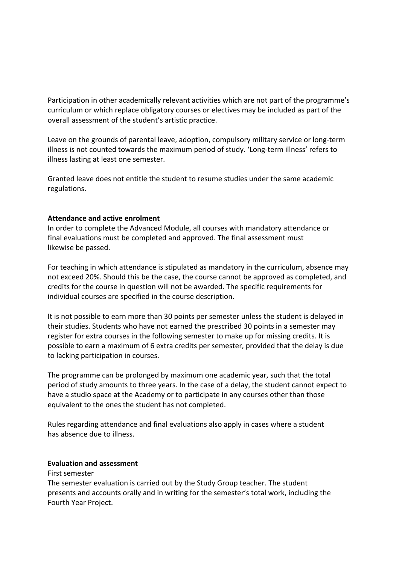Participation in other academically relevant activities which are not part of the programme's curriculum or which replace obligatory courses or electives may be included as part of the overall assessment of the student's artistic practice.

Leave on the grounds of parental leave, adoption, compulsory military service or long-term illness is not counted towards the maximum period of study. 'Long-term illness' refers to illness lasting at least one semester.

Granted leave does not entitle the student to resume studies under the same academic regulations.

## **Attendance and active enrolment**

In order to complete the Advanced Module, all courses with mandatory attendance or final evaluations must be completed and approved. The final assessment must likewise be passed.

For teaching in which attendance is stipulated as mandatory in the curriculum, absence may not exceed 20%. Should this be the case, the course cannot be approved as completed, and credits for the course in question will not be awarded. The specific requirements for individual courses are specified in the course description.

It is not possible to earn more than 30 points per semester unless the student is delayed in their studies. Students who have not earned the prescribed 30 points in a semester may register for extra courses in the following semester to make up for missing credits. It is possible to earn a maximum of 6 extra credits per semester, provided that the delay is due to lacking participation in courses.

The programme can be prolonged by maximum one academic year, such that the total period of study amounts to three years. In the case of a delay, the student cannot expect to have a studio space at the Academy or to participate in any courses other than those equivalent to the ones the student has not completed.

Rules regarding attendance and final evaluations also apply in cases where a student has absence due to illness.

## **Evaluation and assessment**

## First semester

The semester evaluation is carried out by the Study Group teacher. The student presents and accounts orally and in writing for the semester's total work, including the Fourth Year Project.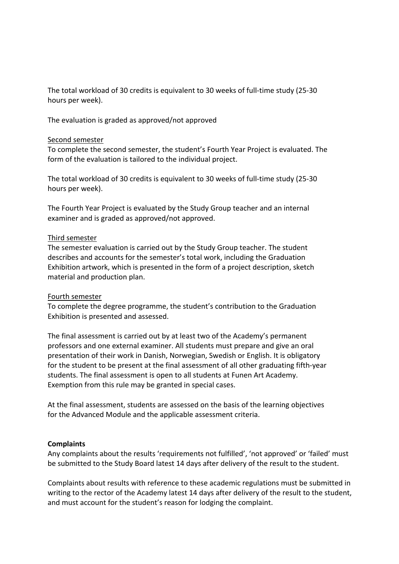The total workload of 30 credits is equivalent to 30 weeks of full-time study (25-30 hours per week).

The evaluation is graded as approved/not approved

### Second semester

To complete the second semester, the student's Fourth Year Project is evaluated. The form of the evaluation is tailored to the individual project.

The total workload of 30 credits is equivalent to 30 weeks of full-time study (25-30 hours per week).

The Fourth Year Project is evaluated by the Study Group teacher and an internal examiner and is graded as approved/not approved.

### Third semester

The semester evaluation is carried out by the Study Group teacher. The student describes and accounts for the semester's total work, including the Graduation Exhibition artwork, which is presented in the form of a project description, sketch material and production plan.

## Fourth semester

To complete the degree programme, the student's contribution to the Graduation Exhibition is presented and assessed.

The final assessment is carried out by at least two of the Academy's permanent professors and one external examiner. All students must prepare and give an oral presentation of their work in Danish, Norwegian, Swedish or English. It is obligatory for the student to be present at the final assessment of all other graduating fifth-year students. The final assessment is open to all students at Funen Art Academy. Exemption from this rule may be granted in special cases.

At the final assessment, students are assessed on the basis of the learning objectives for the Advanced Module and the applicable assessment criteria.

## **Complaints**

Any complaints about the results 'requirements not fulfilled', 'not approved' or 'failed' must be submitted to the Study Board latest 14 days after delivery of the result to the student.

Complaints about results with reference to these academic regulations must be submitted in writing to the rector of the Academy latest 14 days after delivery of the result to the student, and must account for the student's reason for lodging the complaint.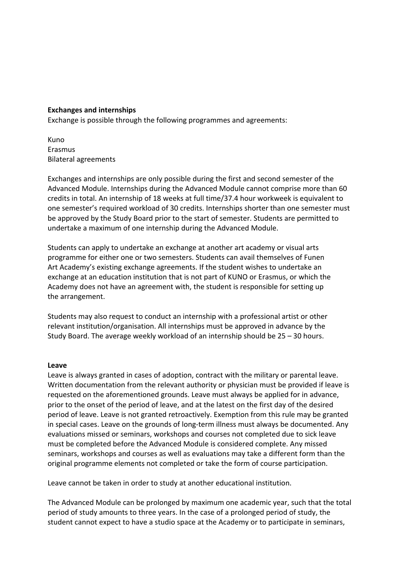## **Exchanges and internships**

Exchange is possible through the following programmes and agreements:

Kuno Erasmus Bilateral agreements

Exchanges and internships are only possible during the first and second semester of the Advanced Module. Internships during the Advanced Module cannot comprise more than 60 credits in total. An internship of 18 weeks at full time/37.4 hour workweek is equivalent to one semester's required workload of 30 credits. Internships shorter than one semester must be approved by the Study Board prior to the start of semester. Students are permitted to undertake a maximum of one internship during the Advanced Module.

Students can apply to undertake an exchange at another art academy or visual arts programme for either one or two semesters. Students can avail themselves of Funen Art Academy's existing exchange agreements. If the student wishes to undertake an exchange at an education institution that is not part of KUNO or Erasmus, or which the Academy does not have an agreement with, the student is responsible for setting up the arrangement.

Students may also request to conduct an internship with a professional artist or other relevant institution/organisation. All internships must be approved in advance by the Study Board. The average weekly workload of an internship should be 25 – 30 hours.

#### **Leave**

Leave is always granted in cases of adoption, contract with the military or parental leave. Written documentation from the relevant authority or physician must be provided if leave is requested on the aforementioned grounds. Leave must always be applied for in advance, prior to the onset of the period of leave, and at the latest on the first day of the desired period of leave. Leave is not granted retroactively. Exemption from this rule may be granted in special cases. Leave on the grounds of long-term illness must always be documented. Any evaluations missed or seminars, workshops and courses not completed due to sick leave must be completed before the Advanced Module is considered complete. Any missed seminars, workshops and courses as well as evaluations may take a different form than the original programme elements not completed or take the form of course participation.

Leave cannot be taken in order to study at another educational institution.

The Advanced Module can be prolonged by maximum one academic year, such that the total period of study amounts to three years. In the case of a prolonged period of study, the student cannot expect to have a studio space at the Academy or to participate in seminars,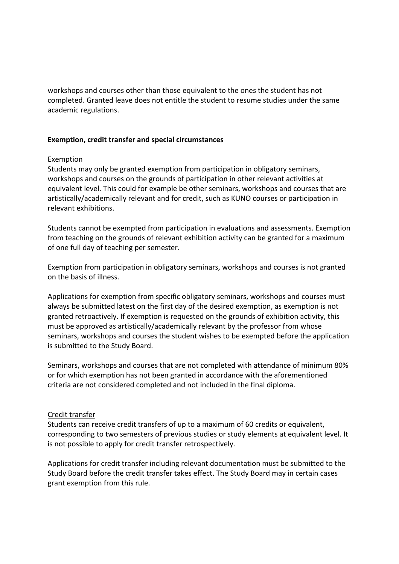workshops and courses other than those equivalent to the ones the student has not completed. Granted leave does not entitle the student to resume studies under the same academic regulations.

## **Exemption, credit transfer and special circumstances**

### Exemption

Students may only be granted exemption from participation in obligatory seminars, workshops and courses on the grounds of participation in other relevant activities at equivalent level. This could for example be other seminars, workshops and courses that are artistically/academically relevant and for credit, such as KUNO courses or participation in relevant exhibitions.

Students cannot be exempted from participation in evaluations and assessments. Exemption from teaching on the grounds of relevant exhibition activity can be granted for a maximum of one full day of teaching per semester.

Exemption from participation in obligatory seminars, workshops and courses is not granted on the basis of illness.

Applications for exemption from specific obligatory seminars, workshops and courses must always be submitted latest on the first day of the desired exemption, as exemption is not granted retroactively. If exemption is requested on the grounds of exhibition activity, this must be approved as artistically/academically relevant by the professor from whose seminars, workshops and courses the student wishes to be exempted before the application is submitted to the Study Board.

Seminars, workshops and courses that are not completed with attendance of minimum 80% or for which exemption has not been granted in accordance with the aforementioned criteria are not considered completed and not included in the final diploma.

## Credit transfer

Students can receive credit transfers of up to a maximum of 60 credits or equivalent, corresponding to two semesters of previous studies or study elements at equivalent level. It is not possible to apply for credit transfer retrospectively.

Applications for credit transfer including relevant documentation must be submitted to the Study Board before the credit transfer takes effect. The Study Board may in certain cases grant exemption from this rule.